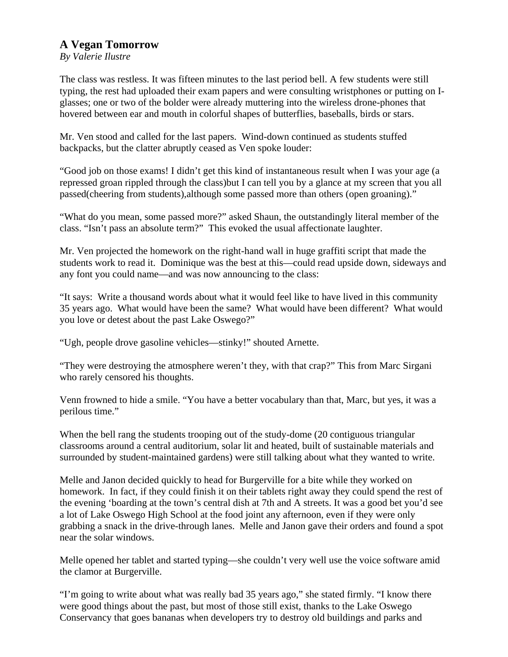## **A Vegan Tomorrow**

*By Valerie Ilustre* 

The class was restless. It was fifteen minutes to the last period bell. A few students were still typing, the rest had uploaded their exam papers and were consulting wristphones or putting on Iglasses; one or two of the bolder were already muttering into the wireless drone-phones that hovered between ear and mouth in colorful shapes of butterflies, baseballs, birds or stars.

Mr. Ven stood and called for the last papers. Wind-down continued as students stuffed backpacks, but the clatter abruptly ceased as Ven spoke louder:

"Good job on those exams! I didn't get this kind of instantaneous result when I was your age (a repressed groan rippled through the class)but I can tell you by a glance at my screen that you all passed(cheering from students),although some passed more than others (open groaning)."

"What do you mean, some passed more?" asked Shaun, the outstandingly literal member of the class. "Isn't pass an absolute term?" This evoked the usual affectionate laughter.

Mr. Ven projected the homework on the right-hand wall in huge graffiti script that made the students work to read it. Dominique was the best at this—could read upside down, sideways and any font you could name—and was now announcing to the class:

"It says: Write a thousand words about what it would feel like to have lived in this community 35 years ago. What would have been the same? What would have been different? What would you love or detest about the past Lake Oswego?"

"Ugh, people drove gasoline vehicles—stinky!" shouted Arnette.

"They were destroying the atmosphere weren't they, with that crap?" This from Marc Sirgani who rarely censored his thoughts.

Venn frowned to hide a smile. "You have a better vocabulary than that, Marc, but yes, it was a perilous time."

When the bell rang the students trooping out of the study-dome (20 contiguous triangular classrooms around a central auditorium, solar lit and heated, built of sustainable materials and surrounded by student-maintained gardens) were still talking about what they wanted to write.

Melle and Janon decided quickly to head for Burgerville for a bite while they worked on homework. In fact, if they could finish it on their tablets right away they could spend the rest of the evening 'boarding at the town's central dish at 7th and A streets. It was a good bet you'd see a lot of Lake Oswego High School at the food joint any afternoon, even if they were only grabbing a snack in the drive-through lanes. Melle and Janon gave their orders and found a spot near the solar windows.

Melle opened her tablet and started typing—she couldn't very well use the voice software amid the clamor at Burgerville.

"I'm going to write about what was really bad 35 years ago," she stated firmly. "I know there were good things about the past, but most of those still exist, thanks to the Lake Oswego Conservancy that goes bananas when developers try to destroy old buildings and parks and